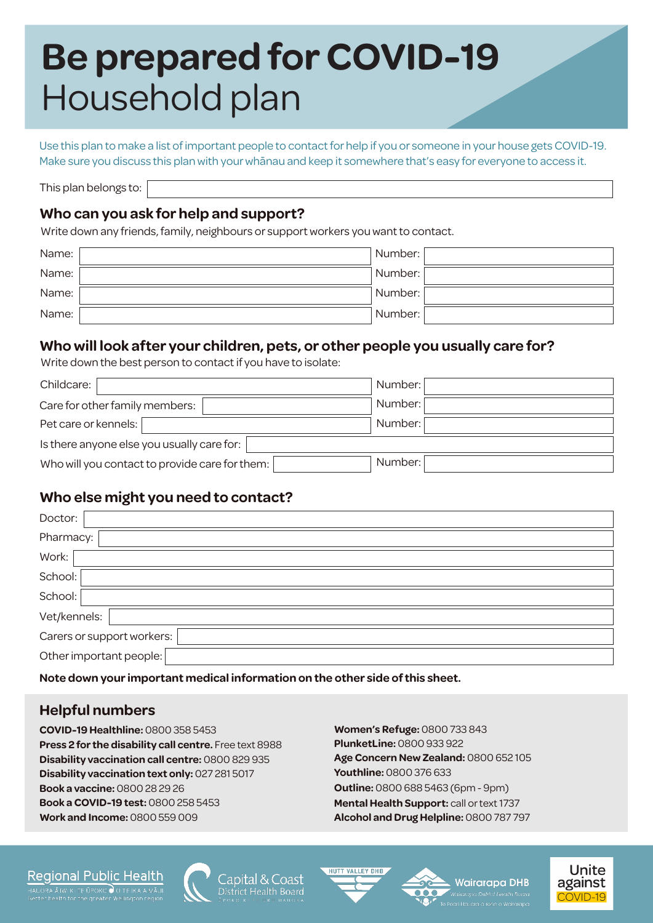# **Be prepared for COVID-19** Household plan

Use this plan to make a list of important people to contact for help if you or someone in your house gets COVID-19. Make sure you discuss this plan with your whānau and keep it somewhere that's easy for everyone to access it.

This plan belongs to:

#### **Who can you ask for help and support?**

Write down any friends, family, neighbours or support workers you want to contact.

| Name: | Number: |  |
|-------|---------|--|
| Name: | Number: |  |
| Name: | Number: |  |
| Name: | Number: |  |

#### **Who will look after your children, pets, or other people you usually care for?**

Write down the best person to contact if you have to isolate:

| Childcare:                                     | Number: |  |  |  |  |
|------------------------------------------------|---------|--|--|--|--|
| Care for other family members:                 | Number: |  |  |  |  |
| Pet care or kennels:                           | Number: |  |  |  |  |
| Is there anyone else you usually care for:     |         |  |  |  |  |
| Who will you contact to provide care for them: | Number: |  |  |  |  |

#### **Who else might you need to contact?**

| Doctor:                    |  |  |  |  |
|----------------------------|--|--|--|--|
| Pharmacy: 1                |  |  |  |  |
| Work:                      |  |  |  |  |
| School:                    |  |  |  |  |
| School:                    |  |  |  |  |
| Vet/kennels:               |  |  |  |  |
| Carers or support workers: |  |  |  |  |
| Other important people:    |  |  |  |  |

**Note down your important medical information on the other side of this sheet.**

#### **Helpful numbers**

**COVID-19 Healthline:** 0800 358 5453 **Press 2 for the disability call centre.** Free text 8988 **Disability vaccination call centre:** 0800 829 935 **Disability vaccination text only:** 027 281 5017 **Work and Income:** 0800 559 009 **Book a vaccine:** 0800 28 29 26 **Book a COVID-19 test:** 0800 258 5453

**Women's Refuge:** 0800 733 843 **PlunketLine:** 0800 933 922 **Age Concern New Zealand:** 0800 652 105 **Youthline:** 0800 376 633 **Outline: 0800 688 5463 (6pm - 9pm) Mental Health Support:** call or text 1737 **Alcohol and Drug Helpline:** 0800 787 797

#### Regional Public Health



ianital 8





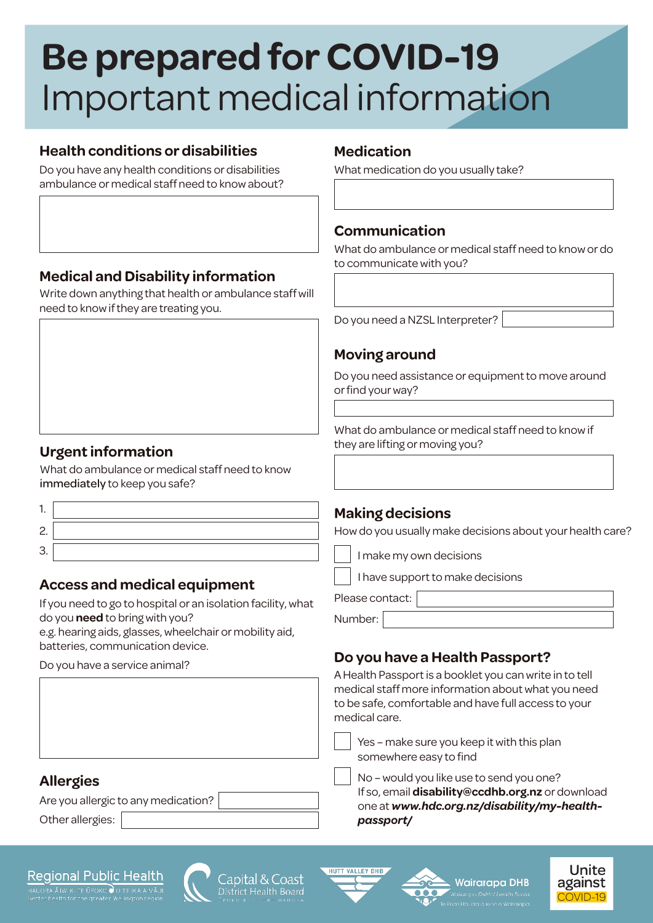# **Be prepared for COVID-19** Important medical information

## **Health conditions or disabilities**

Do you have any health conditions or disabilities ambulance or medical staff need to know about?

## **Medical and Disability information**

Write down anything that health or ambulance staff will need to know if they are treating you.

## **Urgent information**

What do ambulance or medical staff need to know immediately to keep you safe?

- 1. 2.
- 3.

## **Access and medical equipment**

If you need to go to hospital or an isolation facility, what do you **need** to bring with you?

e.g. hearing aids, glasses, wheelchair or mobility aid, batteries, communication device.

Do you have a service animal?

#### **Medication**

What medication do you usually take?

## **Communication**

What do ambulance or medical staff need to know or do to communicate with you?

Do you need a NZSL Interpreter?

## **Moving around**

Do you need assistance or equipment to move around or find your way?

What do ambulance or medical staff need to know if they are lifting or moving you?

#### **Making decisions**

How do you usually make decisions about your health care?

I make my own decisions

I have support to make decisions

Please contact:

Number:

## **Do you have a Health Passport?**

A Health Passport is a booklet you can write in to tell medical staff more information about what you need to be safe, comfortable and have full access to your medical care.

Yes – make sure you keep it with this plan somewhere easy to find

No – would you like use to send you one? If so, email **disability@ccdhb.org.nz** or download one at *www.hdc.org.nz/disability/my-healthpassport/*

## **Allergies**

Are you allergic to any medication?

Other allergies:

#### **Regional Public Health**